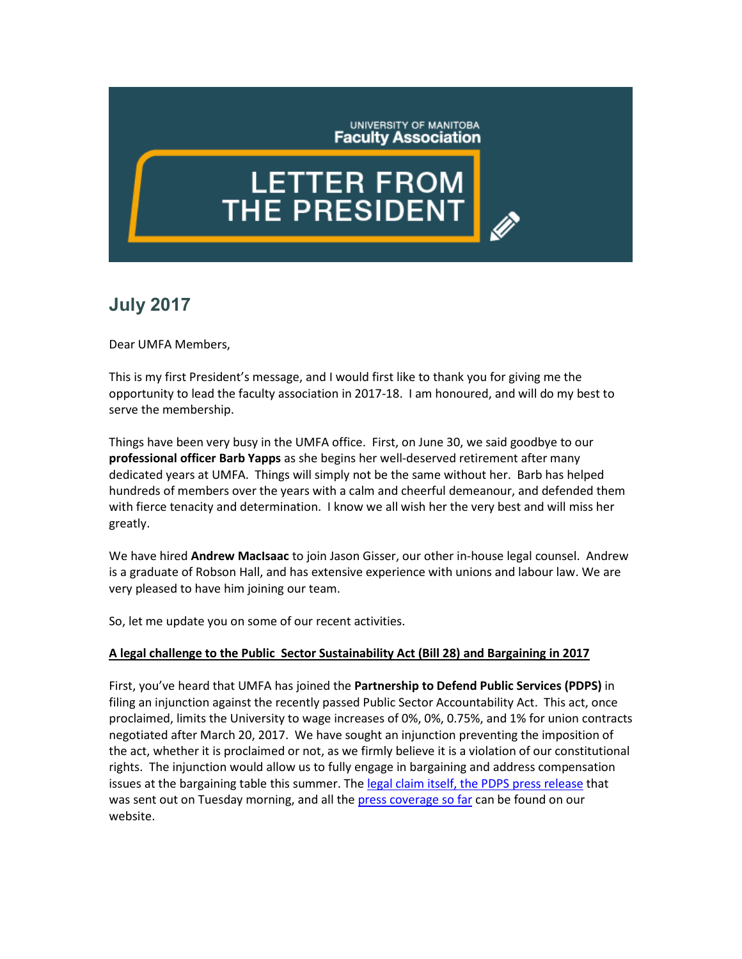UNIVERSITY OF MANITOBA **Faculty Association** 

# **LETTER FROM THE PRESIDENT**

# **July 2017**

Dear UMFA Members,

This is my first President's message, and I would first like to thank you for giving me the opportunity to lead the faculty association in 2017-18. I am honoured, and will do my best to serve the membership.

Things have been very busy in the UMFA office. First, on June 30, we said goodbye to our **professional officer Barb Yapps** as she begins her well-deserved retirement after many dedicated years at UMFA. Things will simply not be the same without her. Barb has helped hundreds of members over the years with a calm and cheerful demeanour, and defended them with fierce tenacity and determination. I know we all wish her the very best and will miss her greatly.

We have hired **Andrew MacIsaac** to join Jason Gisser, our other in-house legal counsel. Andrew is a graduate of Robson Hall, and has extensive experience with unions and labour law. We are very pleased to have him joining our team.

So, let me update you on some of our recent activities.

## **A legal challenge to the Public Sector Sustainability Act (Bill 28) and Bargaining in 2017**

First, you've heard that UMFA has joined the **Partnership to Defend Public Services (PDPS)** in filing an injunction against the recently passed Public Sector Accountability Act. This act, once proclaimed, limits the University to wage increases of 0%, 0%, 0.75%, and 1% for union contracts negotiated after March 20, 2017. We have sought an injunction preventing the imposition of the act, whether it is proclaimed or not, as we firmly believe it is a violation of our constitutional rights. The injunction would allow us to fully engage in bargaining and address compensation issues at the bargaining table this summer. The [legal claim itself, the PDPS](http://umfa.ca/news/71-public-sector-unions-file-for-injunction-against-heavy-handed-new-labour-law) press release that was sent out on Tuesday morning, and all the [press coverage so far](http://umfa.ca/news/65-news-you-can-use-bill-28) can be found on our website.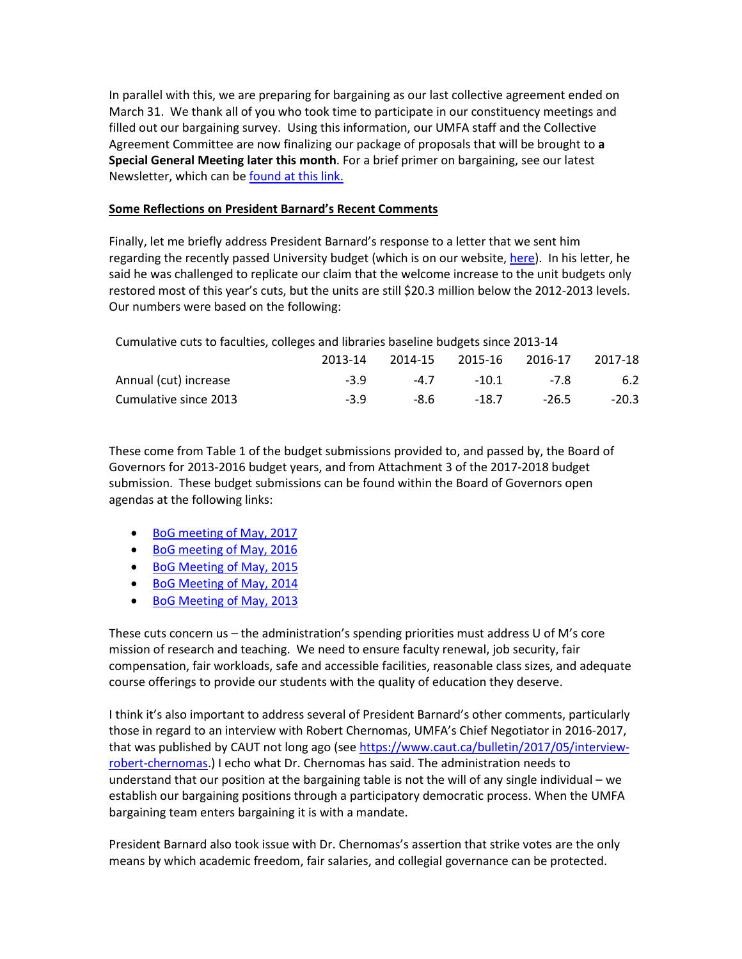In parallel with this, we are preparing for bargaining as our last collective agreement ended on March 31. We thank all of you who took time to participate in our constituency meetings and filled out our bargaining survey. Using this information, our UMFA staff and the Collective Agreement Committee are now finalizing our package of proposals that will be brought to **a Special General Meeting later this month**. For a brief primer on bargaining, see our latest Newsletter, which can b[e found at this link.](http://umfa.ca/images/pdfs/newsletters/Bargaining-in-Context_June_2017.pdf)

### **Some Reflections on President Barnard's Recent Comments**

Finally, let me briefly address President Barnard's response to a letter that we sent him regarding the recently passed University budget (which is on our website, [here\)](http://umfa.ca/news/70-budget-highs-and-lows-a-reflection-on-the-um-budget-2017-18). In his letter, he said he was challenged to replicate our claim that the welcome increase to the unit budgets only restored most of this year's cuts, but the units are still \$20.3 million below the 2012-2013 levels. Our numbers were based on the following:

| Cumulative cuts to faculties, colleges and libraries baseline budgets since 2013-14 |         |      |                         |         |         |
|-------------------------------------------------------------------------------------|---------|------|-------------------------|---------|---------|
|                                                                                     | 2013-14 |      | 2014-15 2015-16 2016-17 |         | 2017-18 |
| Annual (cut) increase                                                               | $-3.9$  | -4.7 | $-10.1$                 | -7.8    | 6.2     |
| Cumulative since 2013                                                               | $-3.9$  | -8.6 | -18.7                   | $-26.5$ | $-20.3$ |

These come from Table 1 of the budget submissions provided to, and passed by, the Board of Governors for 2013-2016 budget years, and from Attachment 3 of the 2017-2018 budget submission. These budget submissions can be found within the Board of Governors open agendas at the following links:

- [BoG meeting of May, 2017](http://umanitoba.ca/admin/governance/media/2017_05_23_BOG_Open_Agenda.pdf)
- [BoG meeting of May, 2016](http://umanitoba.ca/admin/governance/media/2016_05_24_BOG_Open_Agenda.pdf)
- [BoG Meeting of May, 2015](http://umanitoba.ca/admin/governance/media/2015_05_19_BOG_Open_Agenda.pdf)
- [BoG Meeting of May, 2014](http://umanitoba.ca/admin/governance/images/2014_05_20_BOG_OPEN_Agenda.pdf)
- [BoG Meeting of May, 2013](http://umanitoba.ca/admin/governance/media/2013_05_21_BOG_Open_Agenda.pdf)

These cuts concern us – the administration's spending priorities must address U of M's core mission of research and teaching. We need to ensure faculty renewal, job security, fair compensation, fair workloads, safe and accessible facilities, reasonable class sizes, and adequate course offerings to provide our students with the quality of education they deserve.

I think it's also important to address several of President Barnard's other comments, particularly those in regard to an interview with Robert Chernomas, UMFA's Chief Negotiator in 2016-2017, that was published by CAUT not long ago (se[e https://www.caut.ca/bulletin/2017/05/interview](https://www.caut.ca/bulletin/2017/05/interview-robert-chernomas)[robert-chernomas.](https://www.caut.ca/bulletin/2017/05/interview-robert-chernomas)) I echo what Dr. Chernomas has said. The administration needs to understand that our position at the bargaining table is not the will of any single individual – we establish our bargaining positions through a participatory democratic process. When the UMFA bargaining team enters bargaining it is with a mandate.

President Barnard also took issue with Dr. Chernomas's assertion that strike votes are the only means by which academic freedom, fair salaries, and collegial governance can be protected.